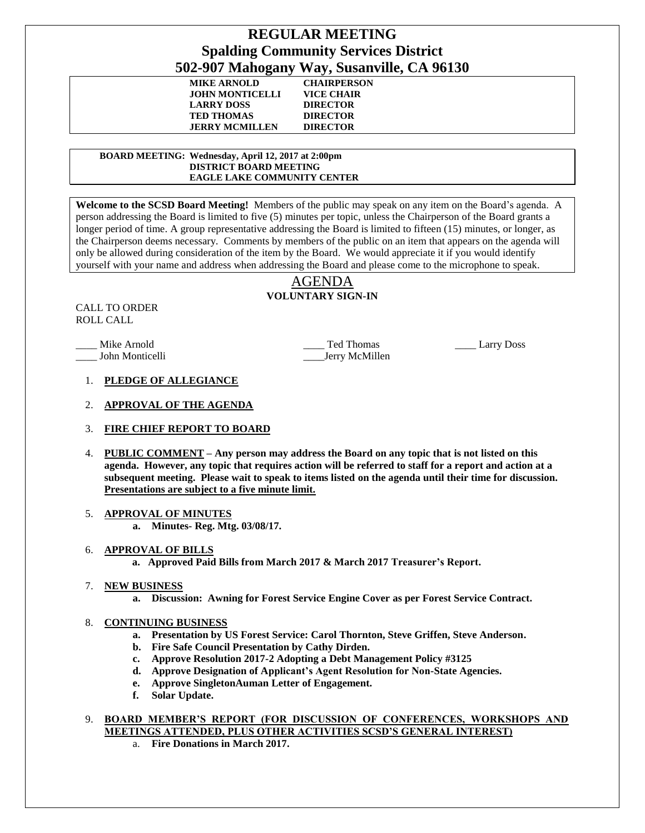# **REGULAR MEETING Spalding Community Services District 502-907 Mahogany Way, Susanville, CA 96130**

| -                     | $\mathbf{a}$       |  |
|-----------------------|--------------------|--|
| <b>MIKE ARNOLD</b>    | <b>CHAIRPERSON</b> |  |
| JOHN MONTICELLI       | VICE CHAIR         |  |
| <b>LARRY DOSS</b>     | <b>DIRECTOR</b>    |  |
| <b>TED THOMAS</b>     | <b>DIRECTOR</b>    |  |
| <b>JERRY MCMILLEN</b> | <b>DIRECTOR</b>    |  |

 **BOARD MEETING: Wednesday, April 12, 2017 at 2:00pm DISTRICT BOARD MEETING EAGLE LAKE COMMUNITY CENTER**

**Welcome to the SCSD Board Meeting!** Members of the public may speak on any item on the Board's agenda. A person addressing the Board is limited to five (5) minutes per topic, unless the Chairperson of the Board grants a longer period of time. A group representative addressing the Board is limited to fifteen (15) minutes, or longer, as the Chairperson deems necessary. Comments by members of the public on an item that appears on the agenda will only be allowed during consideration of the item by the Board. We would appreciate it if you would identify yourself with your name and address when addressing the Board and please come to the microphone to speak.

# AGENDA **VOLUNTARY SIGN-IN**

CALL TO ORDER ROLL CALL

Mike Arnold **Example 3** Ted Thomas **Larry Doss** Larry Doss \_\_\_\_ John Monticelli \_\_\_\_Jerry McMillen

- 1. **PLEDGE OF ALLEGIANCE**
- 2. **APPROVAL OF THE AGENDA**
- 3. **FIRE CHIEF REPORT TO BOARD**
- 4. **PUBLIC COMMENT – Any person may address the Board on any topic that is not listed on this agenda. However, any topic that requires action will be referred to staff for a report and action at a subsequent meeting. Please wait to speak to items listed on the agenda until their time for discussion. Presentations are subject to a five minute limit.**

# 5. **APPROVAL OF MINUTES**

**a. Minutes- Reg. Mtg. 03/08/17.**

# 6. **APPROVAL OF BILLS**

 **a. Approved Paid Bills from March 2017 & March 2017 Treasurer's Report.**

# 7. **NEW BUSINESS**

**a. Discussion: Awning for Forest Service Engine Cover as per Forest Service Contract.**

# 8. **CONTINUING BUSINESS**

- **a. Presentation by US Forest Service: Carol Thornton, Steve Griffen, Steve Anderson.**
- **b. Fire Safe Council Presentation by Cathy Dirden.**
- **c. Approve Resolution 2017-2 Adopting a Debt Management Policy #3125**
- **d. Approve Designation of Applicant's Agent Resolution for Non-State Agencies.**
- **e. Approve SingletonAuman Letter of Engagement.**
- **f. Solar Update.**
- 9. **BOARD MEMBER'S REPORT (FOR DISCUSSION OF CONFERENCES, WORKSHOPS AND MEETINGS ATTENDED, PLUS OTHER ACTIVITIES SCSD'S GENERAL INTEREST)** 
	- a. **Fire Donations in March 2017.**